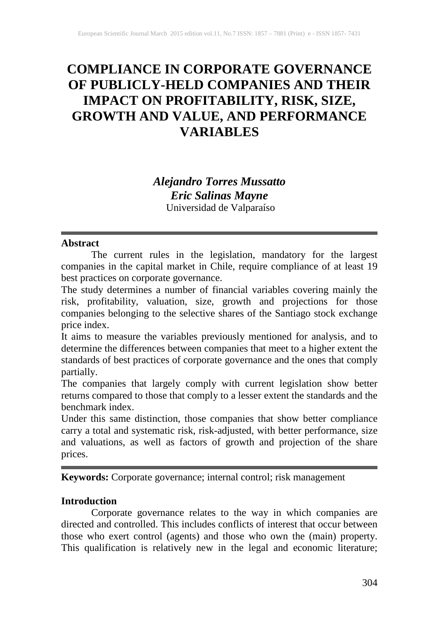# **COMPLIANCE IN CORPORATE GOVERNANCE OF PUBLICLY-HELD COMPANIES AND THEIR IMPACT ON PROFITABILITY, RISK, SIZE, GROWTH AND VALUE, AND PERFORMANCE VARIABLES**

## *Alejandro Torres Mussatto Eric Salinas Mayne* Universidad de Valparaíso

#### **Abstract**

The current rules in the legislation, mandatory for the largest companies in the capital market in Chile, require compliance of at least 19 best practices on corporate governance.

The study determines a number of financial variables covering mainly the risk, profitability, valuation, size, growth and projections for those companies belonging to the selective shares of the Santiago stock exchange price index.

It aims to measure the variables previously mentioned for analysis, and to determine the differences between companies that meet to a higher extent the standards of best practices of corporate governance and the ones that comply partially.

The companies that largely comply with current legislation show better returns compared to those that comply to a lesser extent the standards and the benchmark index.

Under this same distinction, those companies that show better compliance carry a total and systematic risk, risk-adjusted, with better performance, size and valuations, as well as factors of growth and projection of the share prices.

**Keywords:** Corporate governance; internal control; risk management

#### **Introduction**

Corporate governance relates to the way in which companies are directed and controlled. This includes conflicts of interest that occur between those who exert control (agents) and those who own the (main) property. This qualification is relatively new in the legal and economic literature;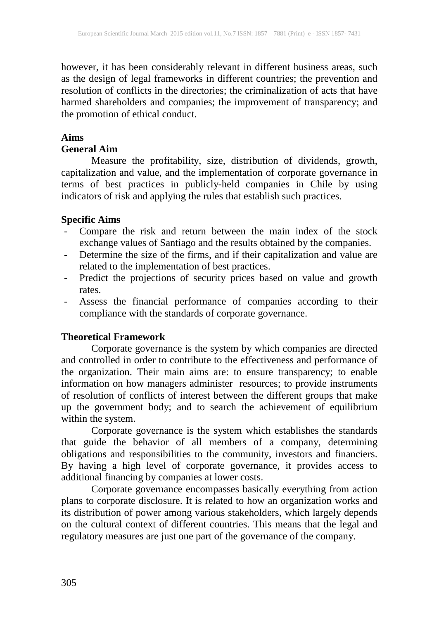however, it has been considerably relevant in different business areas, such as the design of legal frameworks in different countries; the prevention and resolution of conflicts in the directories; the criminalization of acts that have harmed shareholders and companies; the improvement of transparency; and the promotion of ethical conduct.

#### **Aims**

#### **General Aim**

Measure the profitability, size, distribution of dividends, growth, capitalization and value, and the implementation of corporate governance in terms of best practices in publicly-held companies in Chile by using indicators of risk and applying the rules that establish such practices.

#### **Specific Aims**

- Compare the risk and return between the main index of the stock exchange values of Santiago and the results obtained by the companies.
- Determine the size of the firms, and if their capitalization and value are related to the implementation of best practices.
- Predict the projections of security prices based on value and growth rates.
- Assess the financial performance of companies according to their compliance with the standards of corporate governance.

#### **Theoretical Framework**

Corporate governance is the system by which companies are directed and controlled in order to contribute to the effectiveness and performance of the organization. Their main aims are: to ensure transparency; to enable information on how managers administer resources; to provide instruments of resolution of conflicts of interest between the different groups that make up the government body; and to search the achievement of equilibrium within the system.

Corporate governance is the system which establishes the standards that guide the behavior of all members of a company, determining obligations and responsibilities to the community, investors and financiers. By having a high level of corporate governance, it provides access to additional financing by companies at lower costs.

Corporate governance encompasses basically everything from action plans to corporate disclosure. It is related to how an organization works and its distribution of power among various stakeholders, which largely depends on the cultural context of different countries. This means that the legal and regulatory measures are just one part of the governance of the company.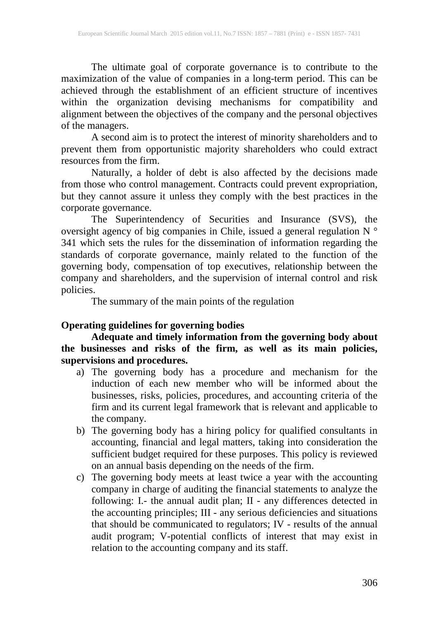The ultimate goal of corporate governance is to contribute to the maximization of the value of companies in a long-term period. This can be achieved through the establishment of an efficient structure of incentives within the organization devising mechanisms for compatibility and alignment between the objectives of the company and the personal objectives of the managers.

A second aim is to protect the interest of minority shareholders and to prevent them from opportunistic majority shareholders who could extract resources from the firm.

Naturally, a holder of debt is also affected by the decisions made from those who control management. Contracts could prevent expropriation, but they cannot assure it unless they comply with the best practices in the corporate governance.

The Superintendency of Securities and Insurance (SVS), the oversight agency of big companies in Chile, issued a general regulation N ° 341 which sets the rules for the dissemination of information regarding the standards of corporate governance, mainly related to the function of the governing body, compensation of top executives, relationship between the company and shareholders, and the supervision of internal control and risk policies.

The summary of the main points of the regulation

## **Operating guidelines for governing bodies**

**Adequate and timely information from the governing body about the businesses and risks of the firm, as well as its main policies, supervisions and procedures.**

- a) The governing body has a procedure and mechanism for the induction of each new member who will be informed about the businesses, risks, policies, procedures, and accounting criteria of the firm and its current legal framework that is relevant and applicable to the company.
- b) The governing body has a hiring policy for qualified consultants in accounting, financial and legal matters, taking into consideration the sufficient budget required for these purposes. This policy is reviewed on an annual basis depending on the needs of the firm.
- c) The governing body meets at least twice a year with the accounting company in charge of auditing the financial statements to analyze the following: I.- the annual audit plan; II - any differences detected in the accounting principles; III - any serious deficiencies and situations that should be communicated to regulators; IV - results of the annual audit program; V-potential conflicts of interest that may exist in relation to the accounting company and its staff.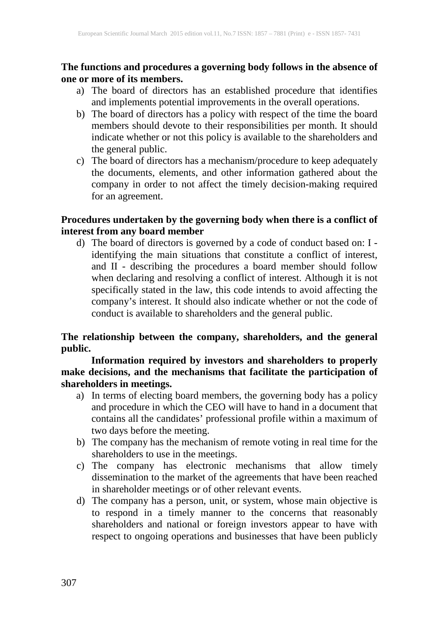#### **The functions and procedures a governing body follows in the absence of one or more of its members.**

- a) The board of directors has an established procedure that identifies and implements potential improvements in the overall operations.
- b) The board of directors has a policy with respect of the time the board members should devote to their responsibilities per month. It should indicate whether or not this policy is available to the shareholders and the general public.
- c) The board of directors has a mechanism/procedure to keep adequately the documents, elements, and other information gathered about the company in order to not affect the timely decision-making required for an agreement.

## **Procedures undertaken by the governing body when there is a conflict of interest from any board member**

d) The board of directors is governed by a code of conduct based on: I identifying the main situations that constitute a conflict of interest, and II - describing the procedures a board member should follow when declaring and resolving a conflict of interest. Although it is not specifically stated in the law, this code intends to avoid affecting the company's interest. It should also indicate whether or not the code of conduct is available to shareholders and the general public.

## **The relationship between the company, shareholders, and the general public.**

### **Information required by investors and shareholders to properly make decisions, and the mechanisms that facilitate the participation of shareholders in meetings.**

- a) In terms of electing board members, the governing body has a policy and procedure in which the CEO will have to hand in a document that contains all the candidates' professional profile within a maximum of two days before the meeting.
- b) The company has the mechanism of remote voting in real time for the shareholders to use in the meetings.
- c) The company has electronic mechanisms that allow timely dissemination to the market of the agreements that have been reached in shareholder meetings or of other relevant events.
- d) The company has a person, unit, or system, whose main objective is to respond in a timely manner to the concerns that reasonably shareholders and national or foreign investors appear to have with respect to ongoing operations and businesses that have been publicly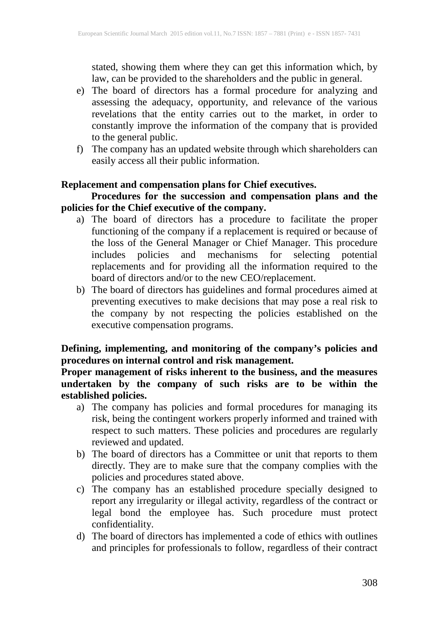stated, showing them where they can get this information which, by law, can be provided to the shareholders and the public in general.

- e) The board of directors has a formal procedure for analyzing and assessing the adequacy, opportunity, and relevance of the various revelations that the entity carries out to the market, in order to constantly improve the information of the company that is provided to the general public.
- f) The company has an updated website through which shareholders can easily access all their public information.

## **Replacement and compensation plans for Chief executives.**

## **Procedures for the succession and compensation plans and the policies for the Chief executive of the company.**

- a) The board of directors has a procedure to facilitate the proper functioning of the company if a replacement is required or because of the loss of the General Manager or Chief Manager. This procedure includes policies and mechanisms for selecting potential replacements and for providing all the information required to the board of directors and/or to the new CEO/replacement.
- b) The board of directors has guidelines and formal procedures aimed at preventing executives to make decisions that may pose a real risk to the company by not respecting the policies established on the executive compensation programs.

## **Defining, implementing, and monitoring of the company's policies and procedures on internal control and risk management.**

#### **Proper management of risks inherent to the business, and the measures undertaken by the company of such risks are to be within the established policies.**

- a) The company has policies and formal procedures for managing its risk, being the contingent workers properly informed and trained with respect to such matters. These policies and procedures are regularly reviewed and updated.
- b) The board of directors has a Committee or unit that reports to them directly. They are to make sure that the company complies with the policies and procedures stated above.
- c) The company has an established procedure specially designed to report any irregularity or illegal activity, regardless of the contract or legal bond the employee has. Such procedure must protect confidentiality.
- d) The board of directors has implemented a code of ethics with outlines and principles for professionals to follow, regardless of their contract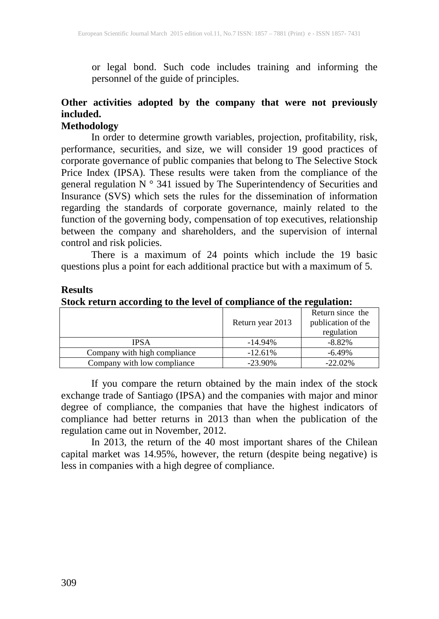or legal bond. Such code includes training and informing the personnel of the guide of principles.

## **Other activities adopted by the company that were not previously included.**

#### **Methodology**

In order to determine growth variables, projection, profitability, risk, performance, securities, and size, we will consider 19 good practices of corporate governance of public companies that belong to The Selective Stock Price Index (IPSA). These results were taken from the compliance of the general regulation  $N^{\circ}$  341 issued by The Superintendency of Securities and Insurance (SVS) which sets the rules for the dissemination of information regarding the standards of corporate governance, mainly related to the function of the governing body, compensation of top executives, relationship between the company and shareholders, and the supervision of internal control and risk policies.

There is a maximum of 24 points which include the 19 basic questions plus a point for each additional practice but with a maximum of 5.

#### **Results**

**Stock return according to the level of compliance of the regulation:**

|                              | Return year 2013 | Return since the<br>publication of the |
|------------------------------|------------------|----------------------------------------|
|                              |                  | regulation                             |
| <b>IPSA</b>                  | $-14.94\%$       | $-8.82%$                               |
| Company with high compliance | $-12.61%$        | $-6.49\%$                              |
| Company with low compliance  | $-23.90\%$       | $-22.02\%$                             |

If you compare the return obtained by the main index of the stock exchange trade of Santiago (IPSA) and the companies with major and minor degree of compliance, the companies that have the highest indicators of compliance had better returns in 2013 than when the publication of the regulation came out in November, 2012.

In 2013, the return of the 40 most important shares of the Chilean capital market was 14.95%, however, the return (despite being negative) is less in companies with a high degree of compliance.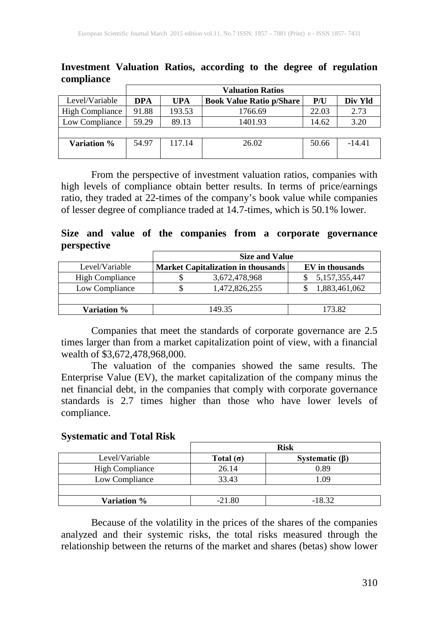| computance             |                         |        |                                 |       |          |  |  |  |  |  |  |  |  |
|------------------------|-------------------------|--------|---------------------------------|-------|----------|--|--|--|--|--|--|--|--|
|                        | <b>Valuation Ratios</b> |        |                                 |       |          |  |  |  |  |  |  |  |  |
| Level/Variable         | DPA                     | UPA    | <b>Book Value Ratio p/Share</b> | P/U   | Div Yld  |  |  |  |  |  |  |  |  |
| <b>High Compliance</b> | 91.88                   | 193.53 | 1766.69                         | 22.03 | 2.73     |  |  |  |  |  |  |  |  |
| Low Compliance         | 59.29                   | 89.13  | 1401.93                         | 14.62 | 3.20     |  |  |  |  |  |  |  |  |
|                        |                         |        |                                 |       |          |  |  |  |  |  |  |  |  |
| Variation %            | 54.97                   | 117.14 | 26.02                           | 50.66 | $-14.41$ |  |  |  |  |  |  |  |  |
|                        |                         |        |                                 |       |          |  |  |  |  |  |  |  |  |

**Investment Valuation Ratios, according to the degree of regulation compliance**

From the perspective of investment valuation ratios, companies with high levels of compliance obtain better results. In terms of price/earnings ratio, they traded at 22-times of the company's book value while companies of lesser degree of compliance traded at 14.7-times, which is 50.1% lower.

**Size and value of the companies from a corporate governance perspective**

|                        | <b>Size and Value</b>                     |                 |  |  |  |  |  |  |  |  |
|------------------------|-------------------------------------------|-----------------|--|--|--|--|--|--|--|--|
| Level/Variable         | <b>Market Capitalization in thousands</b> | EV in thousands |  |  |  |  |  |  |  |  |
| <b>High Compliance</b> | 3,672,478,968                             | 5,157,355,447   |  |  |  |  |  |  |  |  |
| Low Compliance         | 1,472,826,255                             | 1,883,461,062   |  |  |  |  |  |  |  |  |
|                        |                                           |                 |  |  |  |  |  |  |  |  |
| Variation %            | 149.35                                    | 173.82          |  |  |  |  |  |  |  |  |

Companies that meet the standards of corporate governance are 2.5 times larger than from a market capitalization point of view, with a financial wealth of \$3,672,478,968,000.

The valuation of the companies showed the same results. The Enterprise Value (EV), the market capitalization of the company minus the net financial debt, in the companies that comply with corporate governance standards is 2.7 times higher than those who have lower levels of compliance.

#### **Systematic and Total Risk**

|                        |                  | <b>Risk</b>          |
|------------------------|------------------|----------------------|
| Level/Variable         | Total $(\sigma)$ | Systematic $(\beta)$ |
| <b>High Compliance</b> | 26.14            | 0.89                 |
| Low Compliance         | 33.43            | 1.09                 |
|                        |                  |                      |
| Variation %            | $-21.80$         | $-18.32$             |

Because of the volatility in the prices of the shares of the companies analyzed and their systemic risks, the total risks measured through the relationship between the returns of the market and shares (betas) show lower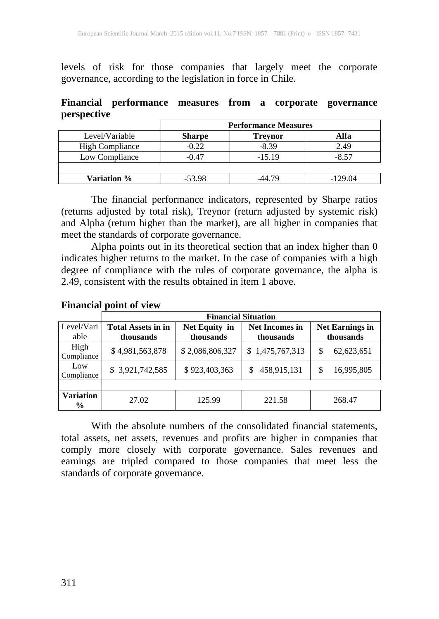levels of risk for those companies that largely meet the corporate governance, according to the legislation in force in Chile.

**Financial performance measures from a corporate governance perspective**

|                        | <b>Performance Measures</b> |                |           |  |  |  |  |  |  |
|------------------------|-----------------------------|----------------|-----------|--|--|--|--|--|--|
| Level/Variable         | <b>Sharpe</b>               | <b>Trevnor</b> | Alfa      |  |  |  |  |  |  |
| <b>High Compliance</b> | $-0.22$                     | $-8.39$        | 2.49      |  |  |  |  |  |  |
| Low Compliance         | $-0.47$                     | $-15.19$       | $-8.57$   |  |  |  |  |  |  |
|                        |                             |                |           |  |  |  |  |  |  |
| Variation %            | $-53.98$                    | -44 79         | $-129.04$ |  |  |  |  |  |  |

The financial performance indicators, represented by Sharpe ratios (returns adjusted by total risk), Treynor (return adjusted by systemic risk) and Alpha (return higher than the market), are all higher in companies that meet the standards of corporate governance.

Alpha points out in its theoretical section that an index higher than 0 indicates higher returns to the market. In the case of companies with a high degree of compliance with the rules of corporate governance, the alpha is 2.49, consistent with the results obtained in item 1 above.

|                            |                           | <b>Financial Situation</b> |                       |                        |  |  |  |  |  |  |  |  |  |  |  |
|----------------------------|---------------------------|----------------------------|-----------------------|------------------------|--|--|--|--|--|--|--|--|--|--|--|
| Level/Vari                 | <b>Total Assets in in</b> | Net Equity in              | <b>Net Incomes in</b> | <b>Net Earnings in</b> |  |  |  |  |  |  |  |  |  |  |  |
| able                       | thousands                 | thousands                  | thousands             | thousands              |  |  |  |  |  |  |  |  |  |  |  |
| High<br>Compliance         | \$4,981,563,878           | \$2,086,806,327            | \$1,475,767,313       | S<br>62,623,651        |  |  |  |  |  |  |  |  |  |  |  |
| Low<br>Compliance          | \$3,921,742,585           | \$923,403,363              | 458,915,131<br>S      | 16,995,805<br>S        |  |  |  |  |  |  |  |  |  |  |  |
|                            |                           |                            |                       |                        |  |  |  |  |  |  |  |  |  |  |  |
| Variation<br>$\frac{6}{9}$ | 27.02                     | 125.99                     | 221.58                | 268.47                 |  |  |  |  |  |  |  |  |  |  |  |

#### **Financial point of view**

With the absolute numbers of the consolidated financial statements, total assets, net assets, revenues and profits are higher in companies that comply more closely with corporate governance. Sales revenues and earnings are tripled compared to those companies that meet less the standards of corporate governance.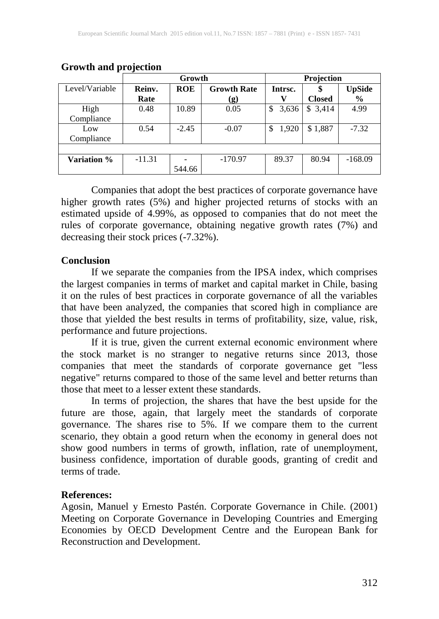|                |          | Growth                           |           | Projection  |               |               |  |
|----------------|----------|----------------------------------|-----------|-------------|---------------|---------------|--|
| Level/Variable | Reinv.   | <b>Growth Rate</b><br><b>ROE</b> |           | Intrsc.     |               | <b>UpSide</b> |  |
|                | Rate     |                                  | (g)       | V           | <b>Closed</b> | $\frac{0}{0}$ |  |
| High           | 0.48     | 10.89                            | 0.05      | 3,636<br>\$ | \$3,414       | 4.99          |  |
| Compliance     |          |                                  |           |             |               |               |  |
| Low            | 0.54     | $-2.45$                          | $-0.07$   | 1,920<br>\$ | \$1,887       | $-7.32$       |  |
| Compliance     |          |                                  |           |             |               |               |  |
|                |          |                                  |           |             |               |               |  |
| Variation %    | $-11.31$ |                                  | $-170.97$ | 89.37       | 80.94         | $-168.09$     |  |
|                |          | 544.66                           |           |             |               |               |  |

#### **Growth and projection**

Companies that adopt the best practices of corporate governance have higher growth rates (5%) and higher projected returns of stocks with an estimated upside of 4.99%, as opposed to companies that do not meet the rules of corporate governance, obtaining negative growth rates (7%) and decreasing their stock prices (-7.32%).

#### **Conclusion**

If we separate the companies from the IPSA index, which comprises the largest companies in terms of market and capital market in Chile, basing it on the rules of best practices in corporate governance of all the variables that have been analyzed, the companies that scored high in compliance are those that yielded the best results in terms of profitability, size, value, risk, performance and future projections.

If it is true, given the current external economic environment where the stock market is no stranger to negative returns since 2013, those companies that meet the standards of corporate governance get "less negative" returns compared to those of the same level and better returns than those that meet to a lesser extent these standards.

In terms of projection, the shares that have the best upside for the future are those, again, that largely meet the standards of corporate governance. The shares rise to 5%. If we compare them to the current scenario, they obtain a good return when the economy in general does not show good numbers in terms of growth, inflation, rate of unemployment, business confidence, importation of durable goods, granting of credit and terms of trade.

#### **References:**

Agosin, Manuel y Ernesto Pastén. Corporate Governance in Chile. (2001) Meeting on Corporate Governance in Developing Countries and Emerging Economies by OECD Development Centre and the European Bank for Reconstruction and Development.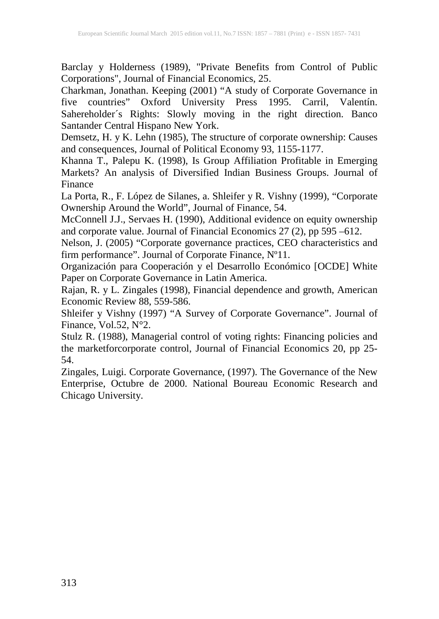Barclay y Holderness (1989), "Private Benefits from Control of Public Corporations", Journal of Financial Economics, 25.

Charkman, Jonathan. Keeping (2001) "A study of Corporate Governance in five countries" Oxford University Press 1995. Carril, Valentín. Sahereholder´s Rights: Slowly moving in the right direction. Banco Santander Central Hispano New York.

Demsetz, H. y K. Lehn (1985), The structure of corporate ownership: Causes and consequences, Journal of Political Economy 93, 1155-1177.

Khanna T., Palepu K. (1998), Is Group Affiliation Profitable in Emerging Markets? An analysis of Diversified Indian Business Groups. Journal of Finance

La Porta, R., F. López de Silanes, a. Shleifer y R. Vishny (1999), "Corporate Ownership Around the World", Journal of Finance, 54.

McConnell J.J., Servaes H. (1990), Additional evidence on equity ownership and corporate value. Journal of Financial Economics 27 (2), pp 595 –612.

Nelson, J. (2005) "Corporate governance practices, CEO characteristics and firm performance". Journal of Corporate Finance, Nº11.

Organización para Cooperación y el Desarrollo Económico [OCDE] White Paper on Corporate Governance in Latin America.

Rajan, R. y L. Zingales (1998), Financial dependence and growth, American Economic Review 88, 559-586.

Shleifer y Vishny (1997) "A Survey of Corporate Governance". Journal of Finance, Vol.52, N°2.

Stulz R. (1988), Managerial control of voting rights: Financing policies and the marketforcorporate control, Journal of Financial Economics 20, pp 25- 54.

Zingales, Luigi. Corporate Governance, (1997). The Governance of the New Enterprise, Octubre de 2000. National Boureau Economic Research and Chicago University.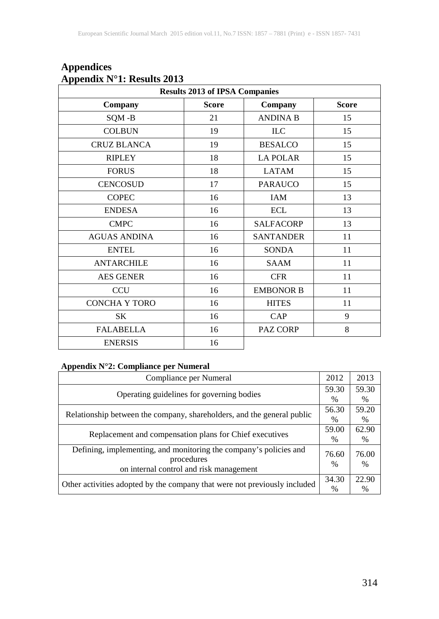| <b>Results 2013 of IPSA Companies</b> |         |                  |    |  |  |  |  |  |  |  |
|---------------------------------------|---------|------------------|----|--|--|--|--|--|--|--|
| Company                               | Company | <b>Score</b>     |    |  |  |  |  |  |  |  |
| SQM-B                                 | 21      | <b>ANDINA B</b>  | 15 |  |  |  |  |  |  |  |
| <b>COLBUN</b>                         | 19      | <b>ILC</b>       | 15 |  |  |  |  |  |  |  |
| <b>CRUZ BLANCA</b>                    | 19      | <b>BESALCO</b>   | 15 |  |  |  |  |  |  |  |
| <b>RIPLEY</b>                         | 18      | <b>LA POLAR</b>  | 15 |  |  |  |  |  |  |  |
| <b>FORUS</b>                          | 18      | <b>LATAM</b>     | 15 |  |  |  |  |  |  |  |
| <b>CENCOSUD</b>                       | 17      | <b>PARAUCO</b>   | 15 |  |  |  |  |  |  |  |
| <b>COPEC</b>                          | 16      | <b>IAM</b>       | 13 |  |  |  |  |  |  |  |
| <b>ENDESA</b>                         | 16      | <b>ECL</b>       | 13 |  |  |  |  |  |  |  |
| <b>CMPC</b>                           | 16      | <b>SALFACORP</b> | 13 |  |  |  |  |  |  |  |
| <b>AGUAS ANDINA</b>                   | 16      | <b>SANTANDER</b> | 11 |  |  |  |  |  |  |  |
| <b>ENTEL</b>                          | 16      | <b>SONDA</b>     | 11 |  |  |  |  |  |  |  |
| <b>ANTARCHILE</b>                     | 16      | <b>SAAM</b>      | 11 |  |  |  |  |  |  |  |
| <b>AES GENER</b>                      | 16      | <b>CFR</b>       | 11 |  |  |  |  |  |  |  |
| <b>CCU</b>                            | 16      | <b>EMBONOR B</b> | 11 |  |  |  |  |  |  |  |
| <b>CONCHA Y TORO</b>                  | 16      | <b>HITES</b>     | 11 |  |  |  |  |  |  |  |
| SK                                    | 16      | CAP              | 9  |  |  |  |  |  |  |  |
| <b>FALABELLA</b>                      | 16      | PAZ CORP         | 8  |  |  |  |  |  |  |  |
| <b>ENERSIS</b>                        | 16      |                  |    |  |  |  |  |  |  |  |

## **Appendices Appendix N°1: Results 2013**

#### **Appendix N°2: Compliance per Numeral**

| Compliance per Numeral                                                    | 2012          | 2013          |
|---------------------------------------------------------------------------|---------------|---------------|
| Operating guidelines for governing bodies                                 | 59.30         | 59.30         |
|                                                                           | $\%$          | $\%$          |
| Relationship between the company, shareholders, and the general public    | 56.30         | 59.20         |
|                                                                           | $\%$          | %             |
| Replacement and compensation plans for Chief executives                   | 59.00         | 62.90         |
|                                                                           | $\%$          | %             |
| Defining, implementing, and monitoring the company's policies and         | 76.60         | 76.00         |
| procedures                                                                |               |               |
| on internal control and risk management                                   | %             | %             |
|                                                                           | 34.30         | 22.90         |
| Other activities adopted by the company that were not previously included | $\frac{0}{0}$ | $\frac{0}{0}$ |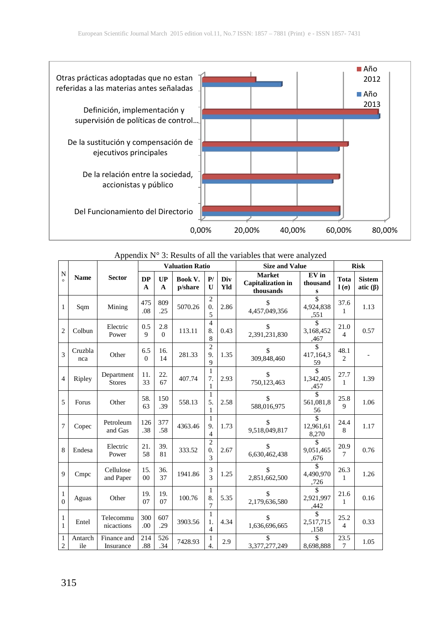

Appendix N° 3: Results of all the variables that were analyzed

|                              |                |                             |                     |                 | <b>Valuation Ratio</b> |                                         |            | <b>Size and Value</b>                                  | <b>Risk</b>                             |                        |                                 |
|------------------------------|----------------|-----------------------------|---------------------|-----------------|------------------------|-----------------------------------------|------------|--------------------------------------------------------|-----------------------------------------|------------------------|---------------------------------|
| N<br>$\circ$                 | <b>Name</b>    | <b>Sector</b>               | <b>DP</b><br>A      | UP<br>A         | Book V.<br>p/share     | P/<br>U                                 | Div<br>Yld | <b>Market</b><br><b>Capitalization</b> in<br>thousands | EV in<br>thousand<br>s                  | Tota<br>$l(\sigma)$    | <b>Sistem</b><br>atic $(\beta)$ |
| 1                            | Sqm            | Mining                      | 475<br>.08          | 809<br>.25      | 5070.26                | $\mathfrak{D}$<br>$\overline{0}$ .<br>5 | 2.86       | \$<br>4,457,049,356                                    | $\hat{\mathbf{S}}$<br>4,924,838<br>,551 | 37.6<br>1              | 1.13                            |
| $\overline{c}$               | Colbun         | Electric<br>Power           | 0.5<br>$\mathbf{Q}$ | 2.8<br>$\theta$ | 113.11                 | $\overline{\mathcal{L}}$<br>8.<br>8     | 0.43       | \$<br>2,391,231,830                                    | \$<br>3,168,452<br>,467                 | 21.0<br>4              | 0.57                            |
| 3                            | Cruzbla<br>nca | Other                       | 6.5<br>$\Omega$     | 16.<br>14       | 281.33                 | $\overline{2}$<br>9.<br>$\mathbf{Q}$    | 1.35       | \$<br>309,848,460                                      | 417, 164, 3<br>59                       | 48.1<br>$\mathfrak{D}$ |                                 |
| $\overline{4}$               | Ripley         | Department<br><b>Stores</b> | 11.<br>33           | 22.<br>67       | 407.74                 | 1<br>7.<br>1                            | 2.93       | \$<br>750,123,463                                      | \$<br>1,342,405<br>,457                 | 27.7<br>1              | 1.39                            |
| 5                            | Forus          | Other                       | 58.<br>63           | 150<br>.39      | 558.13                 | $\mathbf{1}$<br>5.<br>1                 | 2.58       | \$<br>588,016,975                                      | \$<br>561,081,8<br>56                   | 25.8<br>9              | 1.06                            |
| $\overline{7}$               | Copec          | Petroleum<br>and Gas        | 126<br>.38          | 377<br>.58      | 4363.46                | 1<br>9.<br>$\overline{4}$               | 1.73       | \$<br>9,518,049,817                                    | \$<br>12,961,61<br>8,270                | 24.4<br>8              | 1.17                            |
| 8                            | Endesa         | Electric<br>Power           | 21.<br>58           | 39.<br>81       | 333.52                 | $\overline{c}$<br>0.<br>3               | 2.67       | \$<br>6,630,462,438                                    | \$<br>9,051,465<br>.676                 | 20.9<br>7              | 0.76                            |
| $\overline{9}$               | Cmpc           | Cellulose<br>and Paper      | 15.<br>00           | 36.<br>37       | 1941.86                | 3<br>$\overline{\mathcal{E}}$           | 1.25       | \$<br>2,851,662,500                                    | \$<br>4.490.970<br>,726                 | 26.3<br>1              | 1.26                            |
| 1<br>$\theta$                | Aguas          | Other                       | 19.<br>07           | 19.<br>07       | 100.76                 | 1<br>8.<br>7                            | 5.35       | \$<br>2,179,636,580                                    | \$<br>2,921,997<br>,442                 | 21.6<br>1              | 0.16                            |
| $\mathbf{1}$<br>$\mathbf{1}$ | Entel          | Telecommu<br>nicactions     | 300<br>.00          | 607<br>.29      | 3903.56                | $\mathbf{1}$<br>1.<br>4                 | 4.34       | \$<br>1,636,696,665                                    | 2,517,715<br>,158                       | 25.2<br>4              | 0.33                            |
| 1<br>$\mathfrak{2}$          | Antarch<br>ile | Finance and<br>Insurance    | 214<br>.88          | 526<br>.34      | 7428.93                | 1<br>$\overline{4}$ .                   | 2.9        | \$<br>3,377,277,249                                    | \$<br>8,698,888                         | 23.5<br>7              | 1.05                            |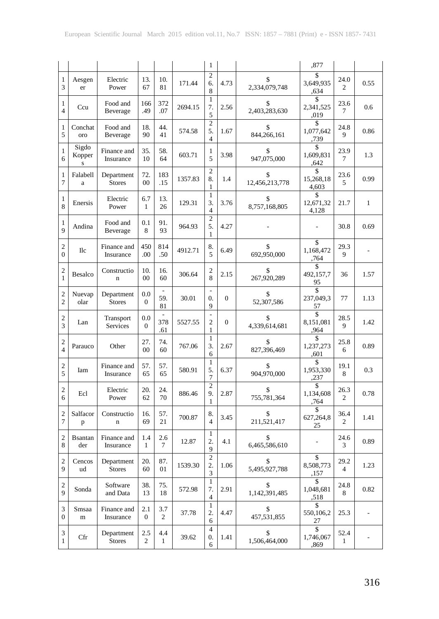|                                             |                      |                             |                       |                       |         | $\mathbf{1}$                           |                |                      | ,877                         |                        |              |
|---------------------------------------------|----------------------|-----------------------------|-----------------------|-----------------------|---------|----------------------------------------|----------------|----------------------|------------------------------|------------------------|--------------|
| 1<br>3                                      | Aesgen<br>er         | Electric<br>Power           | 13.<br>67             | 10.<br>81             | 171.44  | $\overline{c}$<br>6.<br>8              | 4.73           | \$<br>2,334,079,748  | \$<br>3,649,935<br>,634      | 24.0<br>2              | 0.55         |
| $\mathbf{1}$<br>$\overline{4}$              | Ccu                  | Food and<br>Beverage        | 166<br>.49            | 372<br>.07            | 2694.15 | $\mathbf{1}$<br>7.<br>5                | 2.56           | \$<br>2,403,283,630  | S<br>2,341,525<br>,019       | 23.6<br>7              | 0.6          |
| 1<br>5                                      | Conchat<br>oro       | Food and<br>Beverage        | 18.<br>90             | 44.<br>41             | 574.58  | $\overline{c}$<br>5.<br>$\overline{4}$ | 1.67           | \$<br>844,266,161    | S<br>1,077,642<br>,739       | 24.8<br>9              | 0.86         |
| $\mathbf{1}$<br>6                           | Sigdo<br>Kopper<br>S | Finance and<br>Insurance    | 35.<br>10             | 58.<br>64             | 603.71  | 1<br>5                                 | 3.98           | \$<br>947,075,000    | \$<br>1,609,831<br>,642      | 23.9<br>7              | 1.3          |
| 1<br>7                                      | Falabell<br>a        | Department<br><b>Stores</b> | 72.<br>$00\,$         | 183<br>.15            | 1357.83 | $\overline{c}$<br>8.<br>1              | 1.4            | \$<br>12,456,213,778 | \$<br>15,268,18<br>4,603     | 23.6<br>5              | 0.99         |
| 1<br>8                                      | Enersis              | Electric<br>Power           | 6.7<br>1              | 13.<br>26             | 129.31  | 1<br>3.<br>$\overline{4}$              | 3.76           | \$<br>8,757,168,805  | \$<br>12,671,32<br>4,128     | 21.7                   | $\mathbf{1}$ |
| $\mathbf{1}$<br>9                           | Andina               | Food and<br>Beverage        | 0.1<br>8              | 91.<br>93             | 964.93  | $\overline{c}$<br>5.<br>1              | 4.27           |                      |                              | 30.8                   | 0.69         |
| $\mathfrak{2}$<br>$\overline{0}$            | Ilc                  | Finance and<br>Insurance    | 450<br>.00            | 814<br>.50            | 4912.71 | 8.<br>5                                | 6.49           | \$<br>692,950,000    | \$<br>1,168,472<br>,764      | 29.3<br>9              |              |
| $\mathbf{2}$<br>$\mathbf{1}$                | Besalco              | Constructio<br>$\mathbf n$  | 10.<br>$00\,$         | 16.<br>60             | 306.64  | 2<br>8                                 | 2.15           | \$<br>267,920,289    | S<br>492,157,7<br>95         | 36                     | 1.57         |
| $\mathbf{2}$<br>$\overline{c}$              | Nuevap<br>olar       | Department<br><b>Stores</b> | 0.0<br>$\mathbf{0}$   | 59.<br>81             | 30.01   | ÷,<br>0.<br>9                          | $\Omega$       | \$<br>52,307,586     | \$<br>237,049,3<br>57        | 77                     | 1.13         |
| $\mathfrak{2}$<br>3                         | Lan                  | Transport<br>Services       | 0.0<br>$\mathbf{0}$   | ÷<br>378<br>.61       | 5527.55 | $\overline{a}$<br>$\overline{c}$<br>1  | $\overline{0}$ | \$<br>4,339,614,681  | \$<br>8,151,081<br>,964      | 28.5<br>9              | 1.42         |
| 2<br>$\overline{4}$                         | Parauco              | Other                       | 27.<br>$00\,$         | 74.<br>60             | 767.06  | 1<br>3.<br>6                           | 2.67           | \$<br>827,396,469    | \$<br>1,237,273<br>,601      | 25.8<br>6              | 0.89         |
| $\mathfrak{2}$<br>5                         | Iam                  | Finance and<br>Insurance    | 57.<br>65             | 57.<br>65             | 580.91  | $\mathbf{1}$<br>5.<br>7                | 6.37           | \$<br>904,970,000    | \$<br>1,953,330<br>,237      | 19.1<br>8              | 0.3          |
| $\mathfrak{2}$<br>6                         | Ecl                  | Electric<br>Power           | 20.<br>62             | 24.<br>70             | 886.46  | $\overline{2}$<br>9.<br>1              | 2.87           | \$<br>755,781,364    | \$<br>1,134,608<br>,764      | 26.3<br>2              | 0.78         |
| $\mathfrak{2}$<br>7                         | Salfacor<br>p        | Constructio<br>$\mathbf n$  | 16.<br>69             | 57.<br>21             | 700.87  | 8.<br>4                                | 3.45           | \$<br>211,521,417    | \$<br>627,264,8<br>25        | 36.4<br>2              | 1.41         |
| $\overline{\mathbf{c}}$<br>8                | Bsantan<br>der       | Finance and<br>Insurance    | 1.4<br>$\mathbf{1}$   | 2.6<br>$\tau$         | 12.87   | 1<br>2.<br>9                           | 4.1            | \$<br>6,465,586,610  | $\qquad \qquad \blacksquare$ | 24.6<br>$\mathfrak{Z}$ | 0.89         |
| 2<br>9                                      | Cencos<br>ud         | Department<br><b>Stores</b> | 20.<br>60             | 87.<br>01             | 1539.30 | $\overline{2}$<br>2.<br>3              | 1.06           | \$<br>5,495,927,788  | \$<br>8,508,773<br>,157      | 29.2<br>$\overline{4}$ | 1.23         |
| $\mathfrak{2}$<br>9                         | Sonda                | Software<br>and Data        | 38.<br>13             | 75.<br>18             | 572.98  | $\mathbf{1}$<br>7.<br>$\overline{4}$   | 2.91           | \$<br>1,142,391,485  | \$<br>1,048,681<br>,518      | 24.8<br>8              | 0.82         |
| 3<br>$\boldsymbol{0}$                       | Smsaa<br>m           | Finance and<br>Insurance    | 2.1<br>$\overline{0}$ | 3.7<br>$\overline{c}$ | 37.78   | $\mathbf{1}$<br>2.<br>6                | 4.47           | \$<br>457,531,855    | \$<br>550,106,2<br>27        | 25.3                   |              |
| $\ensuremath{\mathfrak{Z}}$<br>$\mathbf{1}$ | Cfr                  | Department<br><b>Stores</b> | 2.5<br>2              | 4.4<br>$\mathbf{1}$   | 39.62   | $\overline{4}$<br>0.<br>6              | 1.41           | \$<br>1,506,464,000  | \$<br>1,746,067<br>,869      | 52.4<br>$\mathbf{1}$   |              |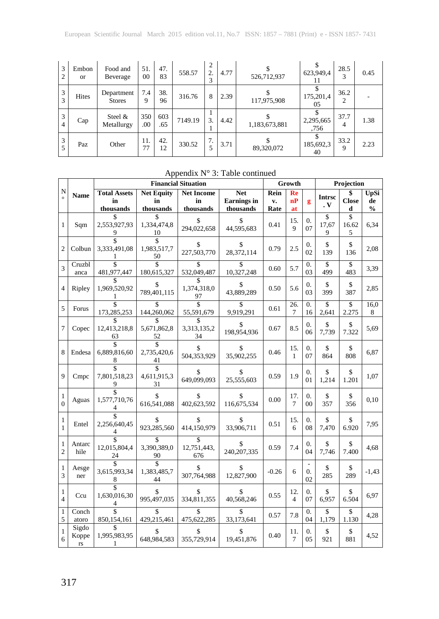| 3<br>2              | Embon<br><sub>or</sub> | Food and<br>Beverage        | 51.<br>00  | 47.<br>83  | 558.57  | 2<br>2.<br>3 | 4.77 | 526,712,937   | 623,949,4         | 28.5<br>3           | 0.45 |
|---------------------|------------------------|-----------------------------|------------|------------|---------|--------------|------|---------------|-------------------|---------------------|------|
| 3<br>3              | <b>Hites</b>           | Department<br><b>Stores</b> | 7.4<br>9   | 38.<br>96  | 316.76  | 8            | 2.39 | 117,975,908   | 175,201,4<br>05   | 36.2<br>2           |      |
| 3<br>$\overline{4}$ | Cap                    | Steel $&$<br>Metallurgy     | 350<br>.00 | 603<br>.65 | 7149.19 | 3.           | 4.42 | 1,183,673,881 | 2,295,665<br>.756 | 37.7<br>4           | 1.38 |
| 3<br>5              | Paz                    | Other                       | 11.<br>77  | 42.<br>12  | 330.52  | 7.<br>5      | 3.71 | 89,320,072    | 185,692,3<br>40   | 33.2<br>$\mathbf Q$ | 2.23 |

## Appendix  $N^{\circ}$  3: Table continued

| $\mathbf N$<br>$\circ$         | <b>Name</b>                              | <b>Financial Situation</b>             |                                         |                                      |                                               |                    | Growth              |                              |                      | Projection        |                                    |  |
|--------------------------------|------------------------------------------|----------------------------------------|-----------------------------------------|--------------------------------------|-----------------------------------------------|--------------------|---------------------|------------------------------|----------------------|-------------------|------------------------------------|--|
|                                |                                          | <b>Total Assets</b><br>in<br>thousands | <b>Net Equity</b><br>in<br>thousands    | <b>Net Income</b><br>in<br>thousands | <b>Net</b><br><b>Earnings</b> in<br>thousands | Rein<br>v.<br>Rate | Re<br>nP<br>at      | g                            | <b>Intrsc</b><br>. V | <b>Close</b><br>d | <b>UpSi</b><br>de<br>$\frac{0}{0}$ |  |
| 1                              | Sqm                                      | \$<br>2,553,927,93<br>9                | \$<br>1.334.474.8<br>10                 | \$<br>294,022,658                    | \$<br>44,595,683                              | 0.41               | 15.<br>9            | 0.<br>07                     | \$<br>17,67<br>9     | \$<br>16.62<br>5  | 6,34                               |  |
| $\overline{c}$                 | Colbun                                   | \$<br>3,333,491,08<br>1                | 1,983,517,7<br>50                       | S<br>227,503,770                     | S<br>28,372,114                               | 0.79               | 2.5                 | $\Omega$ .<br>02             | \$<br>139            | \$<br>136         | 2,08                               |  |
| 3                              | Cruzbl<br>anca                           | \$<br>481,977,447                      | 180,615,327                             | \$<br>532,049,487                    | \$<br>10,327,248                              | 0.60               | 5.7                 | $\Omega$ .<br>03             | \$<br>499            | \$<br>483         | 3,39                               |  |
| $\overline{4}$                 | Ripley                                   | 1,969,520,92                           | S<br>789,401,115                        | 1,374,318,0<br>97                    | \$<br>43,889,289                              | 0.50               | 5.6                 | $\theta$ .<br>03             | \$<br>399            | \$<br>387         | 2,85                               |  |
| 5                              | Forus                                    | \$<br>173,285,253                      | 144,260,062                             | \$<br>55,591,679                     | \$<br>9,919,291                               | 0.61               | 26.<br>7            | 0.<br>16                     | \$<br>2,641          | \$<br>2.275       | 16,0<br>8                          |  |
| 7                              | Copec                                    | 12,413,218,8<br>63                     | 5,671,862,8<br>52                       | 3,313,135,2<br>34                    | \$<br>198,954,936                             | 0.67               | 8.5                 | $\overline{0}$ .<br>06       | \$<br>7,739          | \$<br>7.322       | 5,69                               |  |
| 8                              | Endesa                                   | 6,889,816,60<br>8                      | 2,735,420,6<br>41                       | 504,353,929                          | S<br>35,902,255                               | 0.46               | 15.<br>$\mathbf{1}$ | $\Omega$ .<br>07             | \$<br>864            | \$<br>808         | 6,87                               |  |
| 9                              | Cmpc                                     | \$<br>7,801,518,23<br>9                | $\hat{\mathbf{S}}$<br>4,611,915,3<br>31 | \$<br>649,099,093                    | S<br>25,555,603                               | 0.59               | 1.9                 | $\overline{0}$ .<br>01       | \$<br>1,214          | \$<br>1.201       | 1,07                               |  |
| $\mathbf{1}$<br>$\theta$       | Aguas                                    | \$<br>1,577,710,76<br>4                | 616.541.088                             | 402,623,592                          | S<br>116,675,534                              | 0.00               | 17.<br>7            | $\theta$ .<br>0 <sup>0</sup> | \$<br>357            | \$<br>356         | 0,10                               |  |
| 1<br>1                         | Entel                                    | \$<br>2,256,640,45<br>4                | \$<br>923,285,560                       | \$<br>414,150,979                    | \$<br>33,906,711                              | 0.51               | 15.<br>6            | $\overline{0}$ .<br>08       | \$<br>7,470          | \$<br>6.920       | 7,95                               |  |
| $\mathbf{1}$<br>$\overline{2}$ | Antarc<br>hile                           | 12,015,804,4<br>24                     | \$<br>3,390,389,0<br>90                 | \$<br>12,751,443,<br>676             | \$<br>240, 207, 335                           | 0.59               | 7.4                 | $\theta$ .<br>04             | \$<br>7.746          | \$<br>7.400       | 4,68                               |  |
| $\mathbf{1}$<br>3              | Aesge<br>ner                             | \$<br>3,615,993,34<br>8                | 1,383,485,7<br>44                       | \$<br>307,764,988                    | \$<br>12,827,900                              | $-0.26$            | 6                   | $\theta$ .<br>02             | \$<br>285            | \$<br>289         | $-1,43$                            |  |
| 1<br>$\overline{4}$            | Ccu                                      | \$<br>1,630,016,30<br>4                | 995.497.035                             | S<br>334,811,355                     | S<br>40,568,246                               | 0.55               | 12.<br>4            | 0.<br>07                     | \$<br>6,957          | \$<br>6.504       | 6,97                               |  |
| $\mathbf{1}$<br>5              | Conch<br>atoro                           | \$<br>850,154,161                      | \$<br>429,215,461                       | \$<br>475,622,285                    | \$<br>33,173,641                              | 0.57               | 7.8                 | $\overline{0}$ .<br>04       | \$<br>1,179          | \$<br>1.130       | 4,28                               |  |
| $\mathbf{1}$<br>6              | Sigdo<br>Koppe<br>$\mathbf{r}\mathbf{s}$ | ፍ<br>1,995,983,95<br>1                 | 648,984,583                             | \$<br>355,729,914                    | \$<br>19,451,876                              | 0.40               | 11.<br>7            | $\theta$ .<br>05             | \$<br>921            | \$<br>881         | 4,52                               |  |